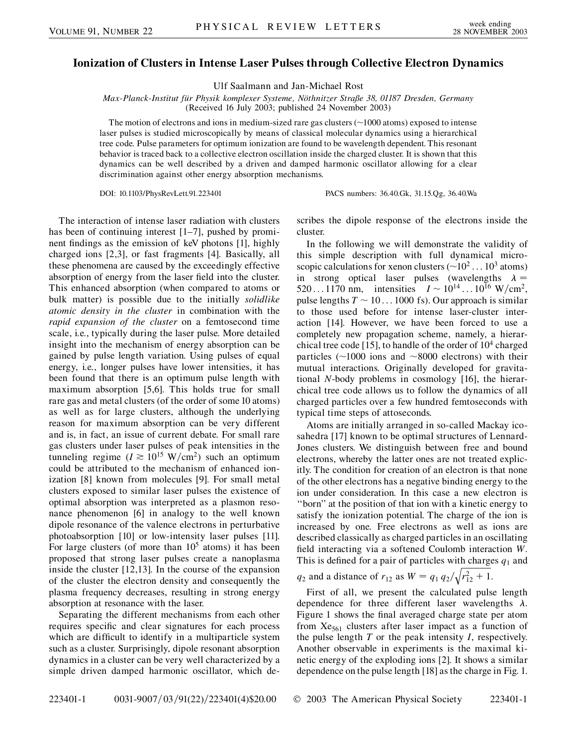## **Ionization of Clusters in Intense Laser Pulses through Collective Electron Dynamics**

Ulf Saalmann and Jan-Michael Rost

*Max-Planck-Institut fu¨r Physik komplexer Systeme, No¨thnitzer Straße 38, 01187 Dresden, Germany* (Received 16 July 2003; published 24 November 2003)

The motion of electrons and ions in medium-sized rare gas clusters  $(\sim 1000$  atoms) exposed to intense laser pulses is studied microscopically by means of classical molecular dynamics using a hierarchical tree code. Pulse parameters for optimum ionization are found to be wavelength dependent. This resonant behavior is traced back to a collective electron oscillation inside the charged cluster. It is shown that this dynamics can be well described by a driven and damped harmonic oscillator allowing for a clear discrimination against other energy absorption mechanisms.

DOI: 10.1103/PhysRevLett.91.223401 PACS numbers: 36.40.Gk, 31.15.Qg, 36.40.Wa

The interaction of intense laser radiation with clusters has been of continuing interest [1–7], pushed by prominent findings as the emission of keV photons [1], highly charged ions [2,3], or fast fragments [4]. Basically, all these phenomena are caused by the exceedingly effective absorption of energy from the laser field into the cluster. This enhanced absorption (when compared to atoms or bulk matter) is possible due to the initially *solidlike atomic density in the cluster* in combination with the *rapid expansion of the cluster* on a femtosecond time scale, i.e., typically during the laser pulse. More detailed insight into the mechanism of energy absorption can be gained by pulse length variation. Using pulses of equal energy, i.e., longer pulses have lower intensities, it has been found that there is an optimum pulse length with maximum absorption [5,6]. This holds true for small rare gas and metal clusters (of the order of some 10 atoms) as well as for large clusters, although the underlying reason for maximum absorption can be very different and is, in fact, an issue of current debate. For small rare gas clusters under laser pulses of peak intensities in the tunneling regime ( $I \ge 10^{15}$  W/cm<sup>2</sup>) such an optimum could be attributed to the mechanism of enhanced ionization [8] known from molecules [9]. For small metal clusters exposed to similar laser pulses the existence of optimal absorption was interpreted as a plasmon resonance phenomenon [6] in analogy to the well known dipole resonance of the valence electrons in perturbative photoabsorption [10] or low-intensity laser pulses [11]. For large clusters (of more than  $10<sup>5</sup>$  atoms) it has been proposed that strong laser pulses create a nanoplasma inside the cluster [12,13]. In the course of the expansion of the cluster the electron density and consequently the plasma frequency decreases, resulting in strong energy absorption at resonance with the laser.

Separating the different mechanisms from each other requires specific and clear signatures for each process which are difficult to identify in a multiparticle system such as a cluster. Surprisingly, dipole resonant absorption dynamics in a cluster can be very well characterized by a simple driven damped harmonic oscillator, which describes the dipole response of the electrons inside the cluster.

In the following we will demonstrate the validity of this simple description with full dynamical microscopic calculations for xenon clusters ( $\sim$ 10<sup>2</sup> . . . 10<sup>3</sup> atoms) in strong optical laser pulses (wavelengths  $\lambda =$  $520...1170$  nm, intensities  $I \sim 10^{14}...10^{16}$  W/cm<sup>2</sup>, pulse lengths  $T \sim 10...1000$  fs). Our approach is similar to those used before for intense laser-cluster interaction [14]. However, we have been forced to use a completely new propagation scheme, namely, a hierarchical tree code [15], to handle of the order of  $10<sup>4</sup>$  charged particles ( $\sim$ 1000 ions and  $\sim$ 8000 electrons) with their mutual interactions. Originally developed for gravitational *N*-body problems in cosmology [16], the hierarchical tree code allows us to follow the dynamics of all charged particles over a few hundred femtoseconds with typical time steps of attoseconds.

Atoms are initially arranged in so-called Mackay icosahedra [17] known to be optimal structures of Lennard-Jones clusters. We distinguish between free and bound electrons, whereby the latter ones are not treated explicitly. The condition for creation of an electron is that none of the other electrons has a negative binding energy to the ion under consideration. In this case a new electron is ''born'' at the position of that ion with a kinetic energy to satisfy the ionization potential. The charge of the ion is increased by one. Free electrons as well as ions are described classically as charged particles in an oscillating field interacting via a softened Coulomb interaction *W*. This is defined for a pair of particles with charges  $q_1$  and  $\frac{1}{2}$  $\frac{1}{\sqrt{2}}$ 

 $q_2$  and a distance of  $r_{12}$  as  $W = q_1 q_2$  $r_{12}^2 + 1$ .

First of all, we present the calculated pulse length dependence for three different laser wavelengths  $\lambda$ . Figure 1 shows the final averaged charge state per atom from  $Xe_{561}$  clusters after laser impact as a function of the pulse length *T* or the peak intensity *I*, respectively. Another observable in experiments is the maximal kinetic energy of the exploding ions [2]. It shows a similar dependence on the pulse length [18] as the charge in Fig. 1.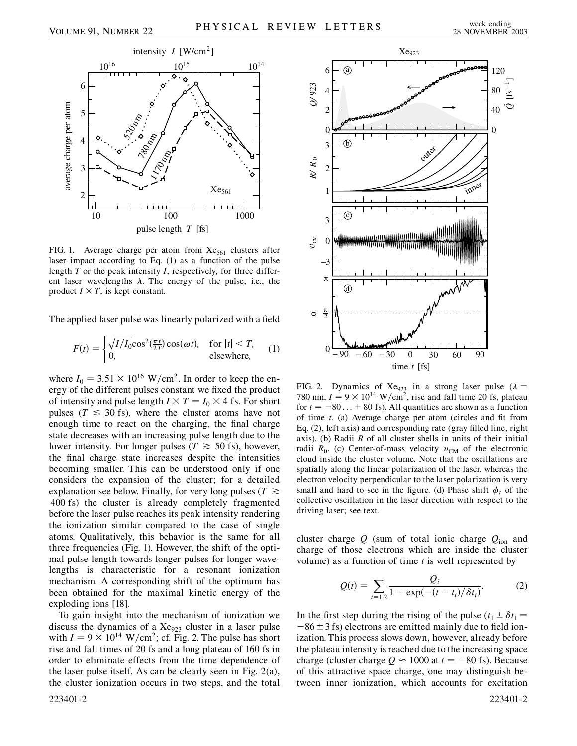

FIG. 1. Average charge per atom from  $Xe_{561}$  clusters after laser impact according to Eq. (1) as a function of the pulse length *T* or the peak intensity *I*, respectively, for three different laser wavelengths  $\lambda$ . The energy of the pulse, i.e., the product  $I \times T$ , is kept constant.

The applied laser pulse was linearly polarized with a field

$$
F(t) = \begin{cases} \sqrt{I/I_0} \cos^2(\frac{\pi t}{2T}) \cos(\omega t), & \text{for } |t| < T, \\ 0, & \text{elsewhere,} \end{cases} \tag{1}
$$

where  $I_0 = 3.51 \times 10^{16} \text{ W/cm}^2$ . In order to keep the energy of the different pulses constant we fixed the product of intensity and pulse length  $I \times T = I_0 \times 4$  fs. For short pulses ( $T \leq 30$  fs), where the cluster atoms have not enough time to react on the charging, the final charge state decreases with an increasing pulse length due to the lower intensity. For longer pulses ( $T \approx 50$  fs), however, the final charge state increases despite the intensities becoming smaller. This can be understood only if one considers the expansion of the cluster; for a detailed explanation see below. Finally, for very long pulses ( $T \geq$ 400 fs) the cluster is already completely fragmented before the laser pulse reaches its peak intensity rendering the ionization similar compared to the case of single atoms. Qualitatively, this behavior is the same for all three frequencies (Fig. 1). However, the shift of the optimal pulse length towards longer pulses for longer wavelengths is characteristic for a resonant ionization mechanism. A corresponding shift of the optimum has been obtained for the maximal kinetic energy of the exploding ions [18].

To gain insight into the mechanism of ionization we discuss the dynamics of a Xe<sub>923</sub> cluster in a laser pulse with  $I = 9 \times 10^{14}$  W/cm<sup>2</sup>; cf. Fig. 2. The pulse has short rise and fall times of 20 fs and a long plateau of 160 fs in order to eliminate effects from the time dependence of the laser pulse itself. As can be clearly seen in Fig. 2(a), the cluster ionization occurs in two steps, and the total



FIG. 2. Dynamics of Xe<sub>923</sub> in a strong laser pulse ( $\lambda$  = 780 nm,  $I = 9 \times 10^{14}$  W/cm<sup>2</sup>, rise and fall time 20 fs, plateau for  $t = -80... + 80$  fs). All quantities are shown as a function of time *t*. (a) Average charge per atom (circles and fit from Eq. (2), left axis) and corresponding rate (gray filled line, right axis). (b) Radii *R* of all cluster shells in units of their initial radii  $R_0$ . (c) Center-of-mass velocity  $v_{CM}$  of the electronic cloud inside the cluster volume. Note that the oscillations are spatially along the linear polarization of the laser, whereas the electron velocity perpendicular to the laser polarization is very small and hard to see in the figure. (d) Phase shift  $\phi_t$  of the collective oscillation in the laser direction with respect to the driving laser; see text.

cluster charge  $Q$  (sum of total ionic charge  $Q_{\text{ion}}$  and charge of those electrons which are inside the cluster volume) as a function of time *t* is well represented by

$$
Q(t) = \sum_{i=1,2} \frac{Q_i}{1 + \exp(-(t - t_i)/\delta t_i)}.
$$
 (2)

In the first step during the rising of the pulse  $(t_1 \pm \delta t_1 =$  $-86 \pm 3$  fs) electrons are emitted mainly due to field ionization. This process slows down, however, already before the plateau intensity is reached due to the increasing space charge (cluster charge  $Q \approx 1000$  at  $t = -80$  fs). Because of this attractive space charge, one may distinguish between inner ionization, which accounts for excitation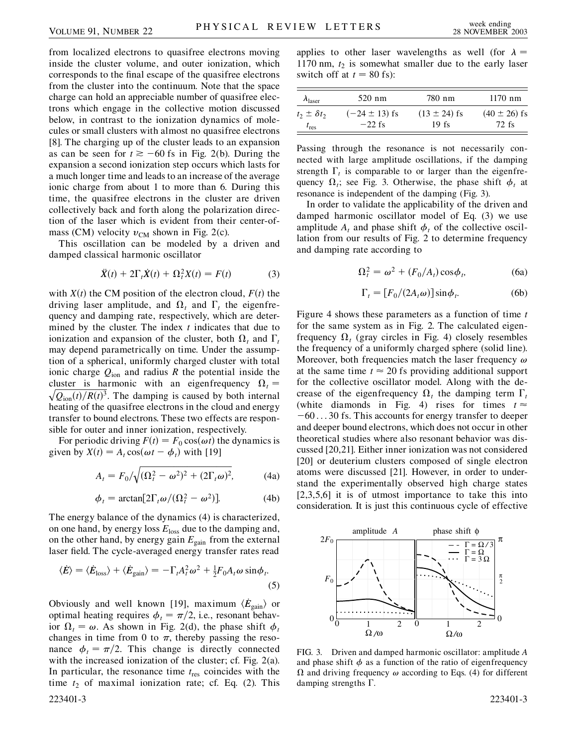from localized electrons to quasifree electrons moving inside the cluster volume, and outer ionization, which corresponds to the final escape of the quasifree electrons from the cluster into the continuum. Note that the space charge can hold an appreciable number of quasifree electrons which engage in the collective motion discussed below, in contrast to the ionization dynamics of molecules or small clusters with almost no quasifree electrons [8]. The charging up of the cluster leads to an expansion as can be seen for  $t \ge -60$  fs in Fig. 2(b). During the expansion a second ionization step occurs which lasts for a much longer time and leads to an increase of the average ionic charge from about 1 to more than 6. During this time, the quasifree electrons in the cluster are driven collectively back and forth along the polarization direction of the laser which is evident from their center-ofmass (CM) velocity  $v_{CM}$  shown in Fig. 2(c).

This oscillation can be modeled by a driven and damped classical harmonic oscillator

$$
\ddot{X}(t) + 2\Gamma_t \dot{X}(t) + \Omega_t^2 X(t) = F(t) \tag{3}
$$

with  $X(t)$  the CM position of the electron cloud,  $F(t)$  the driving laser amplitude, and  $\Omega_t$  and  $\Gamma_t$  the eigenfrequency and damping rate, respectively, which are determined by the cluster. The index *t* indicates that due to ionization and expansion of the cluster, both  $\Omega_t$  and  $\Gamma_t$ may depend parametrically on time. Under the assumption of a spherical, uniformly charged cluster with total ionic charge  $Q_{\text{ion}}$  and radius *R* the potential inside the cluster is harmonic with an eigenfrequency  $\Omega_t = \sqrt{Q_t \left(\frac{\lambda}{L}\right) P_t \left(\frac{\lambda}{L}\right)^2}$  $\sqrt{Q_{\text{ion}}(t)/R(t)^3}$ . The damping is caused by both internal heating of the quasifree electrons in the cloud and energy transfer to bound electrons. These two effects are responsible for outer and inner ionization, respectively.

For periodic driving  $F(t) = F_0 \cos(\omega t)$  the dynamics is given by  $X(t) = A_t \cos(\omega t - \phi_t)$  with [19]

$$
A_t = F_0 / \sqrt{(\Omega_t^2 - \omega^2)^2 + (2\Gamma_t \omega)^2},
$$
 (4a)

$$
\phi_t = \arctan[2\Gamma_t \omega/(\Omega_t^2 - \omega^2)].
$$
 (4b)

The energy balance of the dynamics (4) is characterized, on one hand, by energy loss *E*loss due to the damping and, on the other hand, by energy gain  $E_{\text{gain}}$  from the external laser field. The cycle-averaged energy transfer rates read

$$
\langle \dot{E} \rangle = \langle \dot{E}_{\text{loss}} \rangle + \langle \dot{E}_{\text{gain}} \rangle = -\Gamma_t A_t^2 \omega^2 + \frac{1}{2} F_0 A_t \omega \sin \phi_t. \tag{5}
$$

Obviously and well known [19], maximum  $\langle \dot{E}_{\text{gain}} \rangle$  or optimal heating requires  $\phi_t = \pi/2$ , i.e., resonant behavior  $\Omega_t = \omega$ . As shown in Fig. 2(d), the phase shift  $\phi_t$ changes in time from 0 to  $\pi$ , thereby passing the resonance  $\phi_t = \pi/2$ . This change is directly connected with the increased ionization of the cluster; cf. Fig. 2(a). In particular, the resonance time  $t_{res}$  coincides with the time  $t_2$  of maximal ionization rate; cf. Eq. (2). This 223401-3 223401-3

applies to other laser wavelengths as well (for  $\lambda =$ 1170 nm,  $t_2$  is somewhat smaller due to the early laser switch off at  $t = 80$  fs):

| $\lambda_{\text{laser}}$ | 520 nm            | 780 nm           | $1170$ nm        |
|--------------------------|-------------------|------------------|------------------|
| $t_2 \pm \delta t_2$     | $(-24 \pm 13)$ fs | $(13 \pm 24)$ fs | $(40 \pm 26)$ fs |
| $t_{\rm res}$            | $-22$ fs          | $19$ fs          | 72 fs            |

Passing through the resonance is not necessarily connected with large amplitude oscillations, if the damping strength  $\Gamma_t$  is comparable to or larger than the eigenfrequency  $\Omega_i$ ; see Fig. 3. Otherwise, the phase shift  $\phi_i$  at resonance is independent of the damping (Fig. 3).

In order to validate the applicability of the driven and damped harmonic oscillator model of Eq. (3) we use amplitude  $A_t$  and phase shift  $\phi_t$  of the collective oscillation from our results of Fig. 2 to determine frequency and damping rate according to

$$
\Omega_t^2 = \omega^2 + (F_0/A_t)\cos\phi_t, \tag{6a}
$$

$$
\Gamma_t = [F_0/(2A_t \omega)] \sin \phi_t. \tag{6b}
$$

Figure 4 shows these parameters as a function of time *t* for the same system as in Fig. 2. The calculated eigenfrequency  $\Omega_t$  (gray circles in Fig. 4) closely resembles the frequency of a uniformly charged sphere (solid line). Moreover, both frequencies match the laser frequency  $\omega$ at the same time  $t \approx 20$  fs providing additional support for the collective oscillator model. Along with the decrease of the eigenfrequency  $\Omega_t$  the damping term  $\Gamma_t$ (white diamonds in Fig. 4) rises for times  $t \approx$  $-60...30$  fs. This accounts for energy transfer to deeper and deeper bound electrons, which does not occur in other theoretical studies where also resonant behavior was discussed [20,21]. Either inner ionization was not considered [20] or deuterium clusters composed of single electron atoms were discussed [21]. However, in order to understand the experimentally observed high charge states [2,3,5,6] it is of utmost importance to take this into consideration. It is just this continuous cycle of effective



FIG. 3. Driven and damped harmonic oscillator: amplitude *A* and phase shift  $\phi$  as a function of the ratio of eigenfrequency  $\Omega$  and driving frequency  $\omega$  according to Eqs. (4) for different damping strengths  $\Gamma$ .